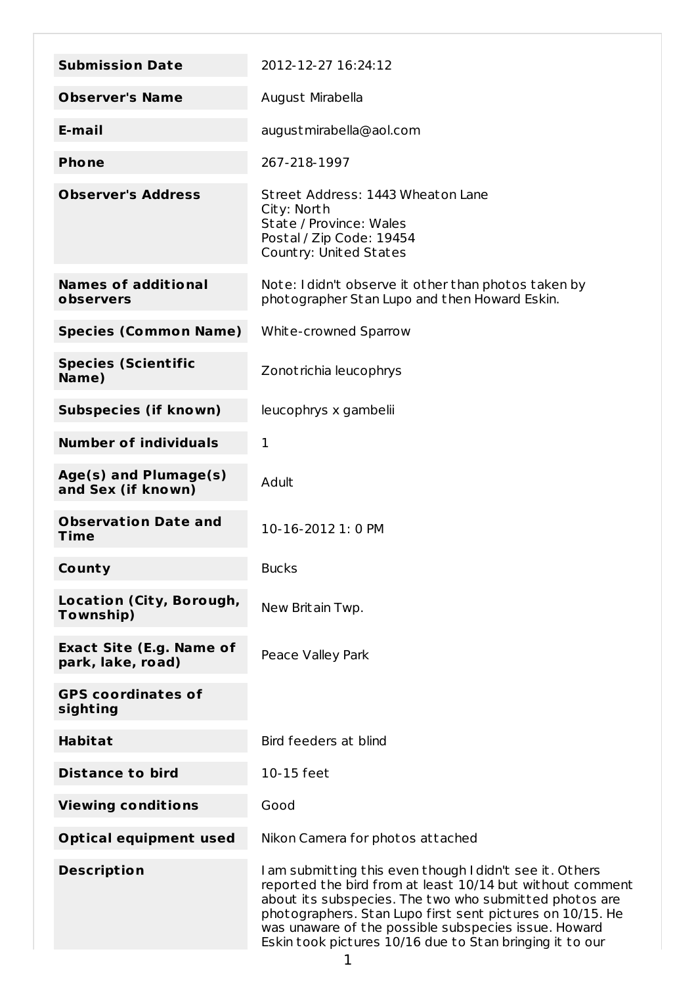| <b>Submission Date</b>                               | 2012-12-27 16:24:12                                                                                                                                                                                                                                                                                                                                              |
|------------------------------------------------------|------------------------------------------------------------------------------------------------------------------------------------------------------------------------------------------------------------------------------------------------------------------------------------------------------------------------------------------------------------------|
| <b>Observer's Name</b>                               | August Mirabella                                                                                                                                                                                                                                                                                                                                                 |
| E-mail                                               | august mirabella@aol.com                                                                                                                                                                                                                                                                                                                                         |
| <b>Phone</b>                                         | 267-218-1997                                                                                                                                                                                                                                                                                                                                                     |
| <b>Observer's Address</b>                            | Street Address: 1443 Wheaton Lane<br>City: North<br>State / Province: Wales<br>Postal / Zip Code: 19454<br>Country: United States                                                                                                                                                                                                                                |
| <b>Names of additional</b><br>observers              | Note: I didn't observe it other than photos taken by<br>photographer Stan Lupo and then Howard Eskin.                                                                                                                                                                                                                                                            |
| <b>Species (Common Name)</b>                         | White-crowned Sparrow                                                                                                                                                                                                                                                                                                                                            |
| <b>Species (Scientific</b><br>Name)                  | Zonot richia leucophrys                                                                                                                                                                                                                                                                                                                                          |
| <b>Subspecies (if known)</b>                         | leucophrys x gambelii                                                                                                                                                                                                                                                                                                                                            |
| <b>Number of individuals</b>                         | $\mathbf{1}$                                                                                                                                                                                                                                                                                                                                                     |
| Age(s) and Plumage(s)<br>and Sex (if known)          | Adult                                                                                                                                                                                                                                                                                                                                                            |
| <b>Observation Date and</b><br>Time                  | 10-16-2012 1: 0 PM                                                                                                                                                                                                                                                                                                                                               |
| County                                               | <b>Bucks</b>                                                                                                                                                                                                                                                                                                                                                     |
| Location (City, Borough,<br>Township)                | New Britain Twp.                                                                                                                                                                                                                                                                                                                                                 |
| <b>Exact Site (E.g. Name of</b><br>park, lake, road) | Peace Valley Park                                                                                                                                                                                                                                                                                                                                                |
| <b>GPS coordinates of</b><br>sighting                |                                                                                                                                                                                                                                                                                                                                                                  |
| <b>Habitat</b>                                       | Bird feeders at blind                                                                                                                                                                                                                                                                                                                                            |
| <b>Distance to bird</b>                              | 10-15 feet                                                                                                                                                                                                                                                                                                                                                       |
| <b>Viewing conditions</b>                            | Good                                                                                                                                                                                                                                                                                                                                                             |
| <b>Optical equipment used</b>                        | Nikon Camera for photos attached                                                                                                                                                                                                                                                                                                                                 |
| <b>Description</b>                                   | I am submitting this even though I didn't see it. Others<br>reported the bird from at least 10/14 but without comment<br>about its subspecies. The two who submitted photos are<br>photographers. Stan Lupo first sent pictures on 10/15. He<br>was unaware of the possible subspecies issue. Howard<br>Eskin took pictures 10/16 due to Stan bringing it to our |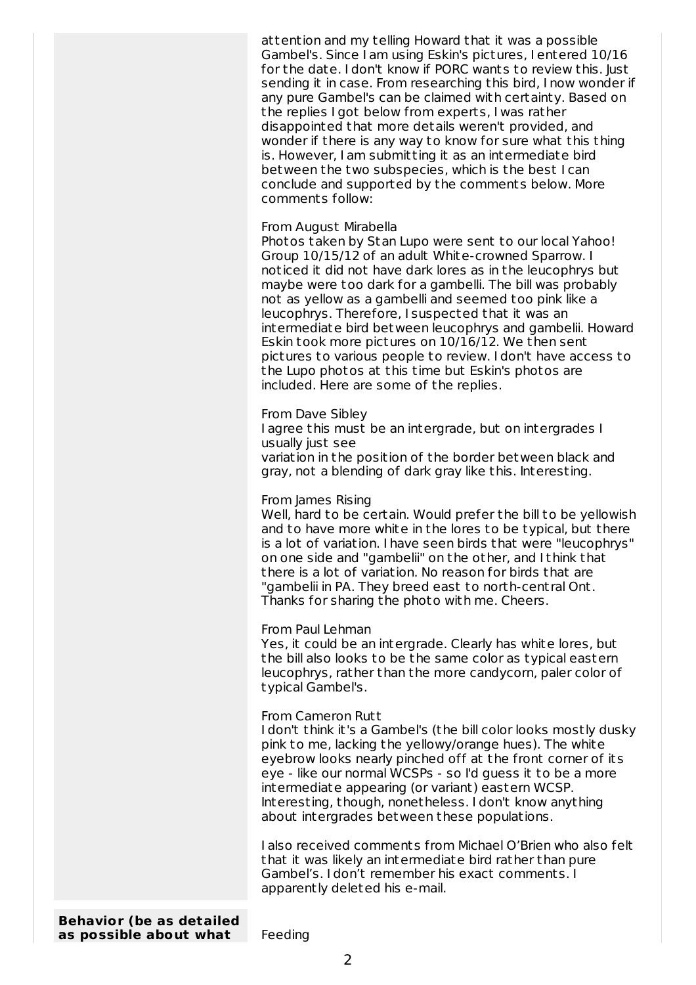attention and my telling Howard that it was a possible Gambel's. Since I am using Eskin's pictures, I entered 10/16 for the date. I don't know if PORC wants to review this. Just sending it in case. From researching this bird, I now wonder if any pure Gambel's can be claimed with certainty. Based on the replies I got below from experts, I was rather disappointed that more details weren't provided, and wonder if there is any way to know for sure what this thing is. However, I am submitting it as an intermediate bird between the two subspecies, which is the best I can conclude and supported by the comments below. More comments follow:

## From August Mirabella

Photos taken by Stan Lupo were sent to our local Yahoo! Group 10/15/12 of an adult White-crowned Sparrow. I noticed it did not have dark lores as in the leucophrys but maybe were too dark for a gambelli. The bill was probably not as yellow as a gambelli and seemed too pink like a leucophrys. Therefore, I suspected that it was an intermediate bird between leucophrys and gambelii. Howard Eskin took more pictures on 10/16/12. We then sent pictures to various people to review. I don't have access to the Lupo photos at this time but Eskin's photos are included. Here are some of the replies.

From Dave Sibley I agree this must be an intergrade, but on intergrades I usually just see variation in the position of the border between black and gray, not a blending of dark gray like this. Interesting.

## From James Rising

Well, hard to be certain. Would prefer the bill to be yellowish and to have more white in the lores to be typical, but there is a lot of variation. I have seen birds that were "leucophrys" on one side and "gambelii" on the other, and I think that there is a lot of variation. No reason for birds that are "gambelii in PA. They breed east to north-cent ral Ont. Thanks for sharing the photo with me. Cheers.

From Paul Lehman

Yes, it could be an intergrade. Clearly has white lores, but the bill also looks to be the same color as typical eastern leucophrys, rather than the more candycorn, paler color of typical Gambel's.

## From Cameron Rutt

I don't think it's a Gambel's (the bill color looks mostly dusky pink to me, lacking the yellowy/orange hues). The white eyebrow looks nearly pinched off at the front corner of its eye - like our normal WCSPs - so I'd guess it to be a more intermediate appearing (or variant) eastern WCSP. Interesting, though, nonetheless. I don't know anything about intergrades between these populations.

I also received comments from Michael O'Brien who also felt that it was likely an intermediate bird rather than pure Gambel's. I don't remember his exact comments. I apparently deleted his e-mail.

**Behavior (be as detailed as possible about what** Feeding